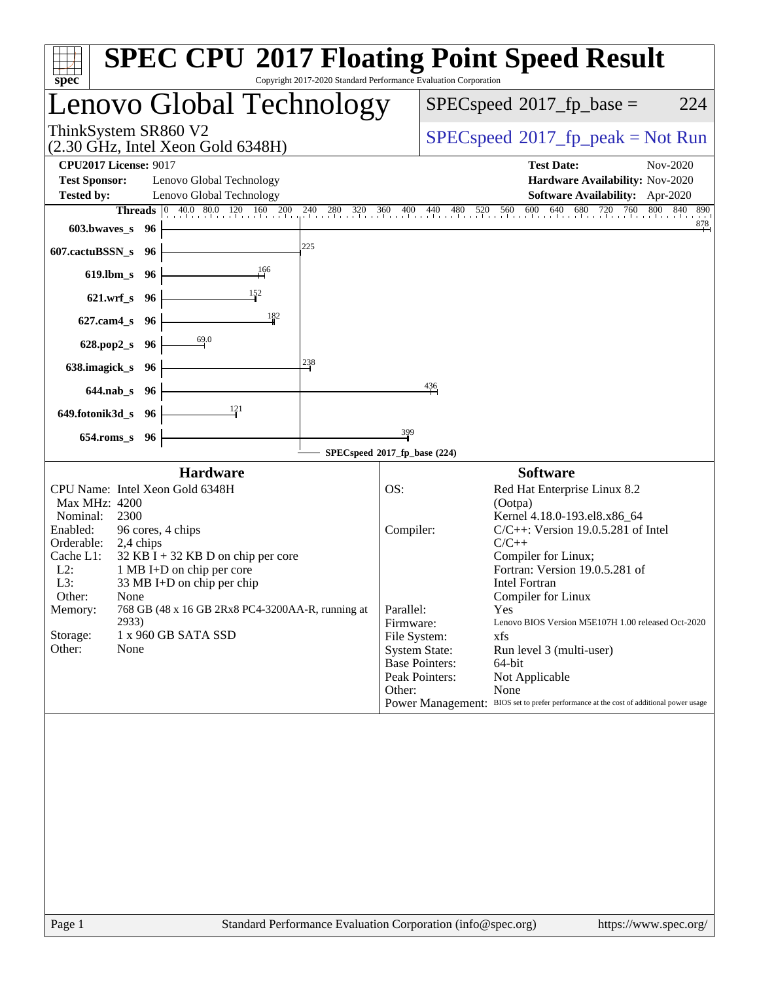| spec <sup>®</sup>                                                                                                                                                                                                                                                                                                                                                                                                                   | <b>SPEC CPU®2017 Floating Point Speed Result</b><br>Copyright 2017-2020 Standard Performance Evaluation Corporation                                                                                                                                                                                                                                                                                                                                                                                                                                                                                                            |  |  |  |  |  |
|-------------------------------------------------------------------------------------------------------------------------------------------------------------------------------------------------------------------------------------------------------------------------------------------------------------------------------------------------------------------------------------------------------------------------------------|--------------------------------------------------------------------------------------------------------------------------------------------------------------------------------------------------------------------------------------------------------------------------------------------------------------------------------------------------------------------------------------------------------------------------------------------------------------------------------------------------------------------------------------------------------------------------------------------------------------------------------|--|--|--|--|--|
| Lenovo Global Technology                                                                                                                                                                                                                                                                                                                                                                                                            | 224<br>$SPEC speed^{\circ}2017\_fp\_base =$                                                                                                                                                                                                                                                                                                                                                                                                                                                                                                                                                                                    |  |  |  |  |  |
| ThinkSystem SR860 V2<br>$(2.30 \text{ GHz}, \text{Intel Xeon Gold } 6348\text{H})$                                                                                                                                                                                                                                                                                                                                                  | $SPEC speed^{\circ}2017\_fp\_peak = Not Run$                                                                                                                                                                                                                                                                                                                                                                                                                                                                                                                                                                                   |  |  |  |  |  |
| <b>CPU2017 License: 9017</b><br><b>Test Sponsor:</b><br>Lenovo Global Technology<br><b>Tested by:</b><br>Lenovo Global Technology<br><b>Threads</b><br>$ 0\rangle$<br>603.bwaves_s 96<br>225<br>607.cactuBSSN_s<br>- 96                                                                                                                                                                                                             | <b>Test Date:</b><br>Nov-2020<br>Hardware Availability: Nov-2020<br>Software Availability: Apr-2020<br>40.0 80.0 120 160 200 240 280 320 360 400 440 480 520 560 600 640 680 720 760 800<br>840<br>890<br>$\frac{878}{ }$                                                                                                                                                                                                                                                                                                                                                                                                      |  |  |  |  |  |
| 619.lbm_s 96<br>$\frac{152}{1}$<br>621.wrf_s 96<br>182<br>$627$ .cam $4_s$<br>- 96<br>69.0                                                                                                                                                                                                                                                                                                                                          |                                                                                                                                                                                                                                                                                                                                                                                                                                                                                                                                                                                                                                |  |  |  |  |  |
| 628.pop2_s<br>- 96<br>238<br>638.imagick_s<br>- 96<br>644.nab_s 96<br>121<br>649.fotonik3d_s 96<br>654.roms_s 96                                                                                                                                                                                                                                                                                                                    | $\frac{436}{5}$<br>$\frac{399}{5}$                                                                                                                                                                                                                                                                                                                                                                                                                                                                                                                                                                                             |  |  |  |  |  |
|                                                                                                                                                                                                                                                                                                                                                                                                                                     | SPECspeed®2017_fp_base (224)                                                                                                                                                                                                                                                                                                                                                                                                                                                                                                                                                                                                   |  |  |  |  |  |
| <b>Hardware</b><br>CPU Name: Intel Xeon Gold 6348H<br>Max MHz: 4200<br>Nominal:<br>2300<br>Enabled:<br>96 cores, 4 chips<br>Orderable:<br>2,4 chips<br>Cache L1:<br>$32$ KB I + 32 KB D on chip per core<br>$L2$ :<br>1 MB I+D on chip per core<br>L3:<br>33 MB I+D on chip per chip<br>Other:<br>None<br>768 GB (48 x 16 GB 2Rx8 PC4-3200AA-R, running at<br>Memory:<br>2933)<br>Storage:<br>1 x 960 GB SATA SSD<br>Other:<br>None | <b>Software</b><br>OS:<br>Red Hat Enterprise Linux 8.2<br>(Ootpa)<br>Kernel 4.18.0-193.el8.x86_64<br>$C/C++$ : Version 19.0.5.281 of Intel<br>Compiler:<br>$C/C++$<br>Compiler for Linux;<br>Fortran: Version 19.0.5.281 of<br><b>Intel Fortran</b><br>Compiler for Linux<br>Parallel:<br>Yes<br>Lenovo BIOS Version M5E107H 1.00 released Oct-2020<br>Firmware:<br>File System:<br>xfs<br><b>System State:</b><br>Run level 3 (multi-user)<br><b>Base Pointers:</b><br>64-bit<br>Peak Pointers:<br>Not Applicable<br>Other:<br>None<br>Power Management: BIOS set to prefer performance at the cost of additional power usage |  |  |  |  |  |
|                                                                                                                                                                                                                                                                                                                                                                                                                                     |                                                                                                                                                                                                                                                                                                                                                                                                                                                                                                                                                                                                                                |  |  |  |  |  |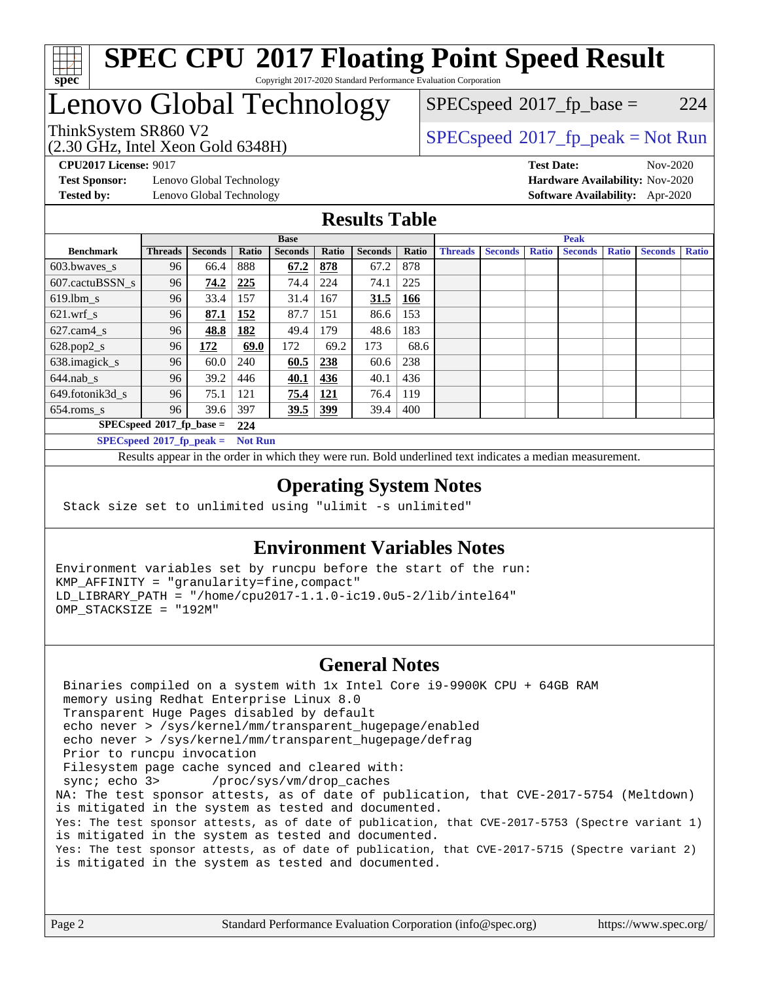

# Lenovo Global Technology

 $SPECspeed^{\circledcirc}2017_fp\_base = 224$  $SPECspeed^{\circledcirc}2017_fp\_base = 224$ 

(2.30 GHz, Intel Xeon Gold 6348H)

ThinkSystem SR860 V2 [SPECspeed](http://www.spec.org/auto/cpu2017/Docs/result-fields.html#SPECspeed2017fppeak)[2017\\_fp\\_peak = N](http://www.spec.org/auto/cpu2017/Docs/result-fields.html#SPECspeed2017fppeak)ot Run

**[Test Sponsor:](http://www.spec.org/auto/cpu2017/Docs/result-fields.html#TestSponsor)** Lenovo Global Technology **[Hardware Availability:](http://www.spec.org/auto/cpu2017/Docs/result-fields.html#HardwareAvailability)** Nov-2020 **[Tested by:](http://www.spec.org/auto/cpu2017/Docs/result-fields.html#Testedby)** Lenovo Global Technology **[Software Availability:](http://www.spec.org/auto/cpu2017/Docs/result-fields.html#SoftwareAvailability)** Apr-2020

**[CPU2017 License:](http://www.spec.org/auto/cpu2017/Docs/result-fields.html#CPU2017License)** 9017 **[Test Date:](http://www.spec.org/auto/cpu2017/Docs/result-fields.html#TestDate)** Nov-2020

#### **[Results Table](http://www.spec.org/auto/cpu2017/Docs/result-fields.html#ResultsTable)**

|                                               | <b>Base</b>                 |                |       |                |            | <b>Peak</b>    |       |                |                |              |                |              |                |              |
|-----------------------------------------------|-----------------------------|----------------|-------|----------------|------------|----------------|-------|----------------|----------------|--------------|----------------|--------------|----------------|--------------|
| <b>Benchmark</b>                              | <b>Threads</b>              | <b>Seconds</b> | Ratio | <b>Seconds</b> | Ratio      | <b>Seconds</b> | Ratio | <b>Threads</b> | <b>Seconds</b> | <b>Ratio</b> | <b>Seconds</b> | <b>Ratio</b> | <b>Seconds</b> | <b>Ratio</b> |
| 603.bwayes s                                  | 96                          | 66.4           | 888   | 67.2           | 878        | 67.2           | 878   |                |                |              |                |              |                |              |
| 607.cactuBSSN s                               | 96                          | 74.2           | 225   | 74.4           | 224        | 74.1           | 225   |                |                |              |                |              |                |              |
| $619.1$ bm s                                  | 96                          | 33.4           | 157   | 31.4           | 167        | 31.5           | 166   |                |                |              |                |              |                |              |
| $621.wrf$ s                                   | 96                          | 87.1           | 152   | 87.7           | 151        | 86.6           | 153   |                |                |              |                |              |                |              |
| $627$ .cam4 s                                 | 96                          | 48.8           | 182   | 49.4           | 179        | 48.6           | 183   |                |                |              |                |              |                |              |
| $628.pop2_s$                                  | 96                          | 172            | 69.0  | 172            | 69.2       | 173            | 68.6  |                |                |              |                |              |                |              |
| 638.imagick_s                                 | 96                          | 60.0           | 240   | 60.5           | 238        | 60.6           | 238   |                |                |              |                |              |                |              |
| $644$ .nab s                                  | 96                          | 39.2           | 446   | 40.1           | 436        | 40.1           | 436   |                |                |              |                |              |                |              |
| 649.fotonik3d s                               | 96                          | 75.1           | 121   | 75.4           | <u>121</u> | 76.4           | 119   |                |                |              |                |              |                |              |
| $654$ .roms s                                 | 96                          | 39.6           | 397   | 39.5           | 399        | 39.4           | 400   |                |                |              |                |              |                |              |
|                                               | $SPECspeed*2017_fp\_base =$ |                | 224   |                |            |                |       |                |                |              |                |              |                |              |
| $SPECspeed*2017_fp\_peak =$<br><b>Not Run</b> |                             |                |       |                |            |                |       |                |                |              |                |              |                |              |

Results appear in the [order in which they were run.](http://www.spec.org/auto/cpu2017/Docs/result-fields.html#RunOrder) Bold underlined text [indicates a median measurement](http://www.spec.org/auto/cpu2017/Docs/result-fields.html#Median).

#### **[Operating System Notes](http://www.spec.org/auto/cpu2017/Docs/result-fields.html#OperatingSystemNotes)**

Stack size set to unlimited using "ulimit -s unlimited"

#### **[Environment Variables Notes](http://www.spec.org/auto/cpu2017/Docs/result-fields.html#EnvironmentVariablesNotes)**

Environment variables set by runcpu before the start of the run: KMP\_AFFINITY = "granularity=fine,compact" LD\_LIBRARY\_PATH = "/home/cpu2017-1.1.0-ic19.0u5-2/lib/intel64" OMP\_STACKSIZE = "192M"

#### **[General Notes](http://www.spec.org/auto/cpu2017/Docs/result-fields.html#GeneralNotes)**

 Binaries compiled on a system with 1x Intel Core i9-9900K CPU + 64GB RAM memory using Redhat Enterprise Linux 8.0 Transparent Huge Pages disabled by default echo never > /sys/kernel/mm/transparent\_hugepage/enabled echo never > /sys/kernel/mm/transparent\_hugepage/defrag Prior to runcpu invocation Filesystem page cache synced and cleared with: sync; echo 3> /proc/sys/vm/drop\_caches NA: The test sponsor attests, as of date of publication, that CVE-2017-5754 (Meltdown) is mitigated in the system as tested and documented. Yes: The test sponsor attests, as of date of publication, that CVE-2017-5753 (Spectre variant 1) is mitigated in the system as tested and documented. Yes: The test sponsor attests, as of date of publication, that CVE-2017-5715 (Spectre variant 2) is mitigated in the system as tested and documented.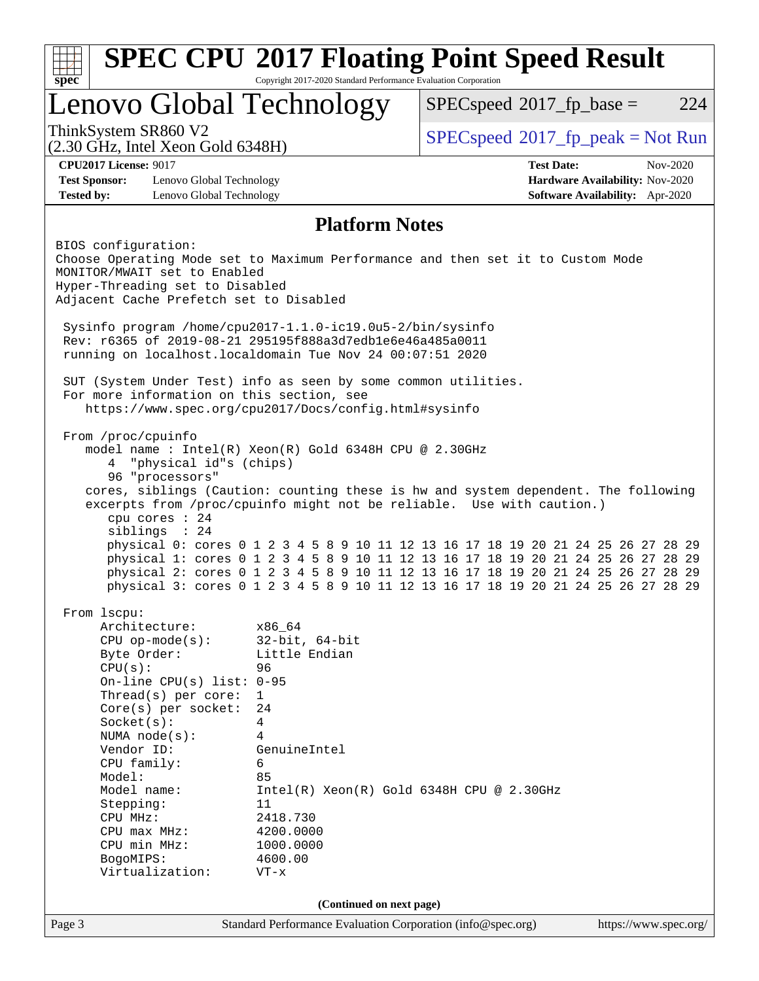| <b>SPEC CPU®2017 Floating Point Speed Result</b><br>Copyright 2017-2020 Standard Performance Evaluation Corporation<br>spec <sup>®</sup>        |                                                                                                                                                                                              |                                                                                                                                                                                                                                                                                                                                                                                                                                                                                                                                                                               |                          |  |  |                                     |                                                                    |          |
|-------------------------------------------------------------------------------------------------------------------------------------------------|----------------------------------------------------------------------------------------------------------------------------------------------------------------------------------------------|-------------------------------------------------------------------------------------------------------------------------------------------------------------------------------------------------------------------------------------------------------------------------------------------------------------------------------------------------------------------------------------------------------------------------------------------------------------------------------------------------------------------------------------------------------------------------------|--------------------------|--|--|-------------------------------------|--------------------------------------------------------------------|----------|
|                                                                                                                                                 |                                                                                                                                                                                              | Lenovo Global Technology                                                                                                                                                                                                                                                                                                                                                                                                                                                                                                                                                      |                          |  |  | $SPEC speed^{\circ}2017$ _fp_base = |                                                                    | 224      |
| ThinkSystem SR860 V2                                                                                                                            | (2.30 GHz, Intel Xeon Gold 6348H)                                                                                                                                                            |                                                                                                                                                                                                                                                                                                                                                                                                                                                                                                                                                                               |                          |  |  |                                     | $SPEC speed^{\circ}2017\_fp\_peak = Not Run$                       |          |
| <b>CPU2017 License: 9017</b><br><b>Test Sponsor:</b><br><b>Tested by:</b>                                                                       | Lenovo Global Technology<br>Lenovo Global Technology                                                                                                                                         |                                                                                                                                                                                                                                                                                                                                                                                                                                                                                                                                                                               |                          |  |  | <b>Test Date:</b>                   | Hardware Availability: Nov-2020<br>Software Availability: Apr-2020 | Nov-2020 |
|                                                                                                                                                 |                                                                                                                                                                                              |                                                                                                                                                                                                                                                                                                                                                                                                                                                                                                                                                                               | <b>Platform Notes</b>    |  |  |                                     |                                                                    |          |
| BIOS configuration:                                                                                                                             | MONITOR/MWAIT set to Enabled<br>Hyper-Threading set to Disabled<br>Adjacent Cache Prefetch set to Disabled                                                                                   | Choose Operating Mode set to Maximum Performance and then set it to Custom Mode<br>Sysinfo program /home/cpu2017-1.1.0-ic19.0u5-2/bin/sysinfo<br>Rev: r6365 of 2019-08-21 295195f888a3d7edble6e46a485a0011                                                                                                                                                                                                                                                                                                                                                                    |                          |  |  |                                     |                                                                    |          |
|                                                                                                                                                 |                                                                                                                                                                                              | running on localhost.localdomain Tue Nov 24 00:07:51 2020                                                                                                                                                                                                                                                                                                                                                                                                                                                                                                                     |                          |  |  |                                     |                                                                    |          |
|                                                                                                                                                 |                                                                                                                                                                                              | SUT (System Under Test) info as seen by some common utilities.<br>For more information on this section, see<br>https://www.spec.org/cpu2017/Docs/config.html#sysinfo                                                                                                                                                                                                                                                                                                                                                                                                          |                          |  |  |                                     |                                                                    |          |
| 4                                                                                                                                               | "physical id"s (chips)<br>96 "processors"<br>cpu cores : 24<br>siblings : 24                                                                                                                 | model name: $Intel(R)$ Xeon $(R)$ Gold 6348H CPU @ 2.30GHz<br>cores, siblings (Caution: counting these is hw and system dependent. The following<br>excerpts from /proc/cpuinfo might not be reliable. Use with caution.)<br>physical 0: cores 0 1 2 3 4 5 8 9 10 11 12 13 16 17 18 19 20 21 24 25 26 27 28 29<br>physical 1: cores 0 1 2 3 4 5 8 9 10 11 12 13 16 17 18 19 20 21 24 25 26 27 28 29<br>physical 2: cores 0 1 2 3 4 5 8 9 10 11 12 13 16 17 18 19 20 21 24 25 26 27 28 29<br>physical 3: cores 0 1 2 3 4 5 8 9 10 11 12 13 16 17 18 19 20 21 24 25 26 27 28 29 |                          |  |  |                                     |                                                                    |          |
| From 1scpu:<br>Byte Order:<br>CPU(s):<br>Socket(s):<br>Vendor ID:<br>CPU family:<br>Model:<br>Model name:<br>Stepping:<br>CPU MHz:<br>BogoMIPS: | Architecture:<br>$CPU$ op-mode( $s$ ):<br>On-line CPU(s) list: $0-95$<br>$Thread(s)$ per core:<br>Core(s) per socket:<br>NUMA $node(s)$ :<br>CPU max MHz:<br>CPU min MHz:<br>Virtualization: | x86_64<br>$32$ -bit, $64$ -bit<br>Little Endian<br>96<br>$\mathbf{1}$<br>24<br>4<br>4<br>GenuineIntel<br>6<br>85<br>$Intel(R) Xeon(R) Gold 6348H CPU @ 2.30GHz$<br>11<br>2418.730<br>4200.0000<br>1000.0000<br>4600.00<br>$VT - x$                                                                                                                                                                                                                                                                                                                                            |                          |  |  |                                     |                                                                    |          |
|                                                                                                                                                 |                                                                                                                                                                                              |                                                                                                                                                                                                                                                                                                                                                                                                                                                                                                                                                                               | (Continued on next page) |  |  |                                     |                                                                    |          |
| Page 3                                                                                                                                          |                                                                                                                                                                                              | Standard Performance Evaluation Corporation (info@spec.org)                                                                                                                                                                                                                                                                                                                                                                                                                                                                                                                   |                          |  |  |                                     | https://www.spec.org/                                              |          |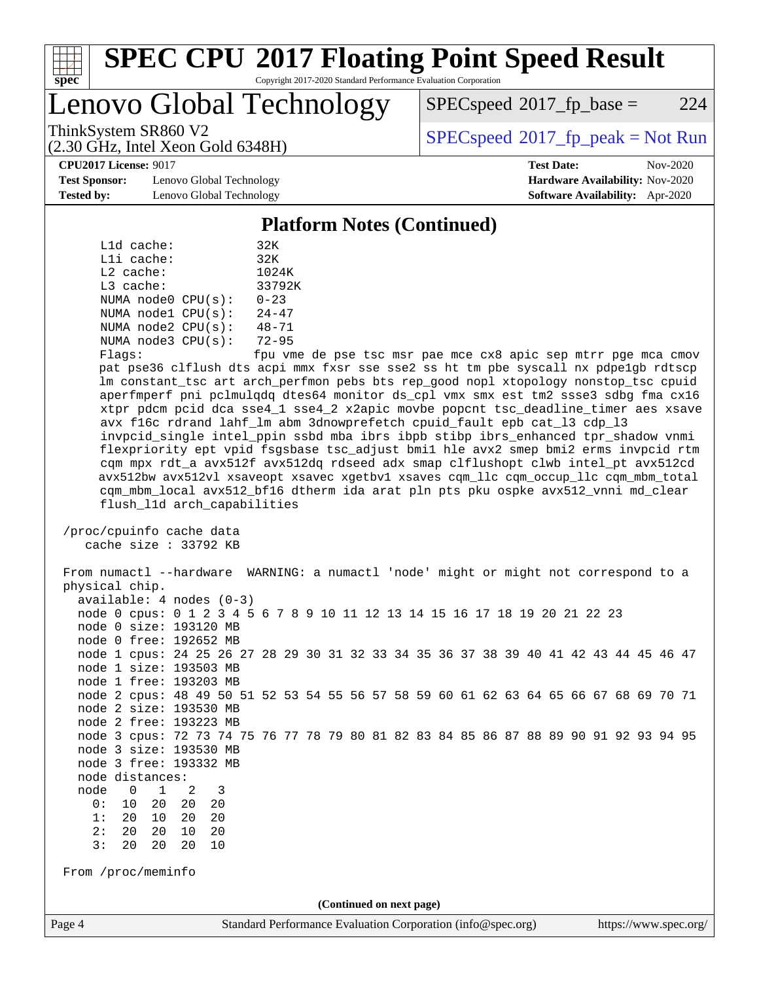

Lenovo Global Technology

 $SPEC speed^{\circ}2017\_fp\_base = 224$ 

(2.30 GHz, Intel Xeon Gold 6348H)

ThinkSystem SR860 V2<br>  $\begin{array}{c}\n\text{SPEC speed} \text{?}2017\_fp\_peak = Not Run \\
\text{SPEC speed} \text{?}2017\_fp\_peak = Not Run\n\end{array}$ 

**[CPU2017 License:](http://www.spec.org/auto/cpu2017/Docs/result-fields.html#CPU2017License)** 9017 **[Test Date:](http://www.spec.org/auto/cpu2017/Docs/result-fields.html#TestDate)** Nov-2020

**[Test Sponsor:](http://www.spec.org/auto/cpu2017/Docs/result-fields.html#TestSponsor)** Lenovo Global Technology **[Hardware Availability:](http://www.spec.org/auto/cpu2017/Docs/result-fields.html#HardwareAvailability)** Nov-2020 **[Tested by:](http://www.spec.org/auto/cpu2017/Docs/result-fields.html#Testedby)** Lenovo Global Technology **[Software Availability:](http://www.spec.org/auto/cpu2017/Docs/result-fields.html#SoftwareAvailability)** Apr-2020

#### **[Platform Notes \(Continued\)](http://www.spec.org/auto/cpu2017/Docs/result-fields.html#PlatformNotes)**

| L1d cache:   |                         | 32K                      |
|--------------|-------------------------|--------------------------|
| $L1i$ cache: |                         | 32K                      |
| $L2$ cache:  |                         | 1024K                    |
| $L3$ cache:  |                         | 33792K                   |
|              | NUMA node0 CPU(s):      | $0 - 23$                 |
|              | NUMA $node1$ $CPU(s)$ : | $24 - 47$                |
|              | NUMA $node2$ $CPU(s)$ : | $48 - 71$                |
|              | NUMA node3 CPU(s):      | $72 - 95$                |
|              |                         | $\overline{\phantom{0}}$ |

Flags: fpu vme de pse tsc msr pae mce cx8 apic sep mtrr pge mca cmov pat pse36 clflush dts acpi mmx fxsr sse sse2 ss ht tm pbe syscall nx pdpe1gb rdtscp lm constant\_tsc art arch\_perfmon pebs bts rep\_good nopl xtopology nonstop\_tsc cpuid aperfmperf pni pclmulqdq dtes64 monitor ds\_cpl vmx smx est tm2 ssse3 sdbg fma cx16 xtpr pdcm pcid dca sse4\_1 sse4\_2 x2apic movbe popcnt tsc\_deadline\_timer aes xsave avx f16c rdrand lahf\_lm abm 3dnowprefetch cpuid\_fault epb cat\_l3 cdp\_l3 invpcid\_single intel\_ppin ssbd mba ibrs ibpb stibp ibrs\_enhanced tpr\_shadow vnmi flexpriority ept vpid fsgsbase tsc\_adjust bmi1 hle avx2 smep bmi2 erms invpcid rtm cqm mpx rdt\_a avx512f avx512dq rdseed adx smap clflushopt clwb intel\_pt avx512cd avx512bw avx512vl xsaveopt xsavec xgetbv1 xsaves cqm\_llc cqm\_occup\_llc cqm\_mbm\_total cqm\_mbm\_local avx512\_bf16 dtherm ida arat pln pts pku ospke avx512\_vnni md\_clear flush\_l1d arch\_capabilities

 /proc/cpuinfo cache data cache size : 33792 KB

 From numactl --hardware WARNING: a numactl 'node' might or might not correspond to a physical chip. available: 4 nodes (0-3) node 0 cpus: 0 1 2 3 4 5 6 7 8 9 10 11 12 13 14 15 16 17 18 19 20 21 22 23 node 0 size: 193120 MB node 0 free: 192652 MB node 1 cpus: 24 25 26 27 28 29 30 31 32 33 34 35 36 37 38 39 40 41 42 43 44 45 46 47 node 1 size: 193503 MB node 1 free: 193203 MB node 2 cpus: 48 49 50 51 52 53 54 55 56 57 58 59 60 61 62 63 64 65 66 67 68 69 70 71 node 2 size: 193530 MB node 2 free: 193223 MB node 3 cpus: 72 73 74 75 76 77 78 79 80 81 82 83 84 85 86 87 88 89 90 91 92 93 94 95 node 3 size: 193530 MB node 3 free: 193332 MB node distances: node 0 1 2 3 0: 10 20 20 20 1: 20 10 20 20 2: 20 20 10 20 3: 20 20 20 10 From /proc/meminfo **(Continued on next page)**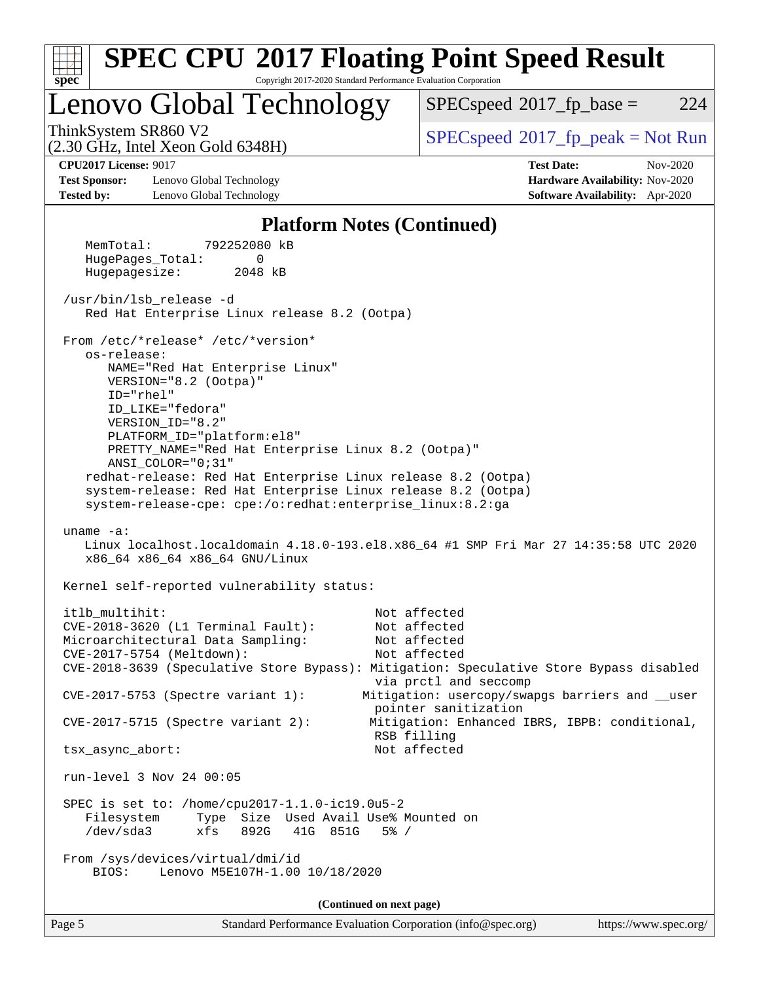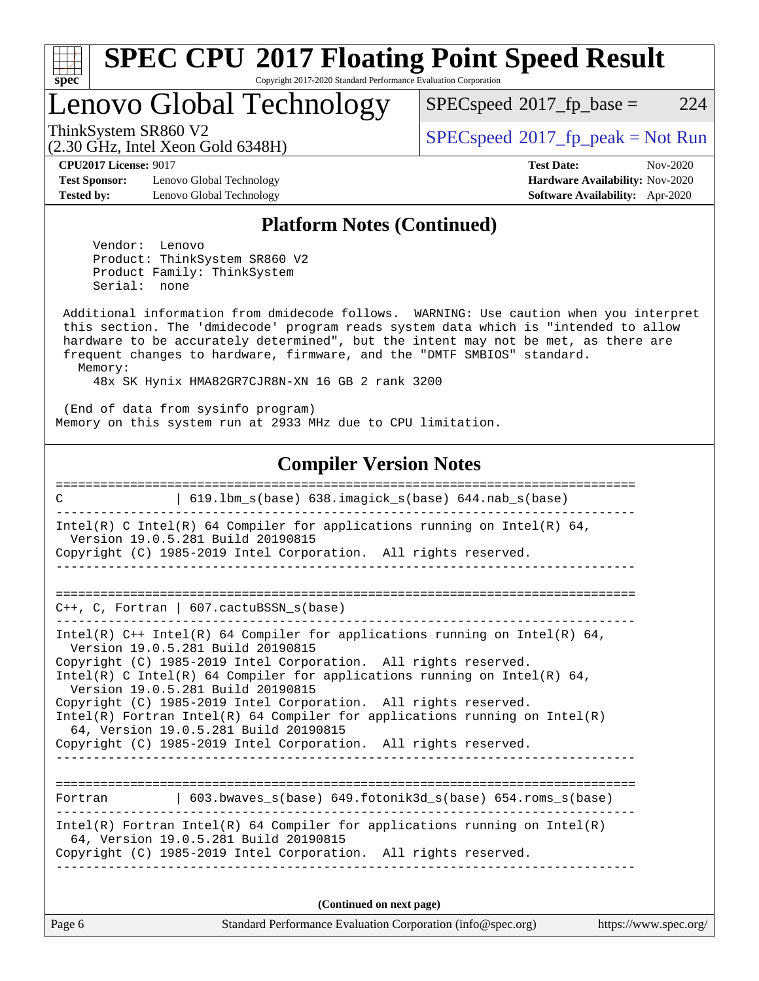

# **[SPEC CPU](http://www.spec.org/auto/cpu2017/Docs/result-fields.html#SPECCPU2017FloatingPointSpeedResult)[2017 Floating Point Speed Result](http://www.spec.org/auto/cpu2017/Docs/result-fields.html#SPECCPU2017FloatingPointSpeedResult)**

Copyright 2017-2020 Standard Performance Evaluation Corporation

Lenovo Global Technology

 $SPECspeed^{\circledcirc}2017_fp\_base = 224$  $SPECspeed^{\circledcirc}2017_fp\_base = 224$ 

(2.30 GHz, Intel Xeon Gold 6348H)

ThinkSystem SR860 V2 [SPECspeed](http://www.spec.org/auto/cpu2017/Docs/result-fields.html#SPECspeed2017fppeak)[2017\\_fp\\_peak = N](http://www.spec.org/auto/cpu2017/Docs/result-fields.html#SPECspeed2017fppeak)ot Run

**[CPU2017 License:](http://www.spec.org/auto/cpu2017/Docs/result-fields.html#CPU2017License)** 9017 **[Test Date:](http://www.spec.org/auto/cpu2017/Docs/result-fields.html#TestDate)** Nov-2020

**[Test Sponsor:](http://www.spec.org/auto/cpu2017/Docs/result-fields.html#TestSponsor)** Lenovo Global Technology **[Hardware Availability:](http://www.spec.org/auto/cpu2017/Docs/result-fields.html#HardwareAvailability)** Nov-2020 **[Tested by:](http://www.spec.org/auto/cpu2017/Docs/result-fields.html#Testedby)** Lenovo Global Technology **[Software Availability:](http://www.spec.org/auto/cpu2017/Docs/result-fields.html#SoftwareAvailability)** Apr-2020

#### **[Platform Notes \(Continued\)](http://www.spec.org/auto/cpu2017/Docs/result-fields.html#PlatformNotes)**

 Vendor: Lenovo Product: ThinkSystem SR860 V2 Product Family: ThinkSystem Serial: none

 Additional information from dmidecode follows. WARNING: Use caution when you interpret this section. The 'dmidecode' program reads system data which is "intended to allow hardware to be accurately determined", but the intent may not be met, as there are frequent changes to hardware, firmware, and the "DMTF SMBIOS" standard. Memory:

48x SK Hynix HMA82GR7CJR8N-XN 16 GB 2 rank 3200

 (End of data from sysinfo program) Memory on this system run at 2933 MHz due to CPU limitation.

#### **[Compiler Version Notes](http://www.spec.org/auto/cpu2017/Docs/result-fields.html#CompilerVersionNotes)**

| 619.1bm_s(base) 638.imagick_s(base) 644.nab_s(base)<br>C                                                                                                                                                                                                                                                                                                                                                                                                                                                                                                           |
|--------------------------------------------------------------------------------------------------------------------------------------------------------------------------------------------------------------------------------------------------------------------------------------------------------------------------------------------------------------------------------------------------------------------------------------------------------------------------------------------------------------------------------------------------------------------|
| Intel(R) C Intel(R) 64 Compiler for applications running on Intel(R) 64,<br>Version 19.0.5.281 Build 20190815<br>Copyright (C) 1985-2019 Intel Corporation. All rights reserved.                                                                                                                                                                                                                                                                                                                                                                                   |
|                                                                                                                                                                                                                                                                                                                                                                                                                                                                                                                                                                    |
| $C_{++}$ , C, Fortran   607. cactuBSSN $s(base)$                                                                                                                                                                                                                                                                                                                                                                                                                                                                                                                   |
| Intel(R) $C++$ Intel(R) 64 Compiler for applications running on Intel(R) 64,<br>Version 19.0.5.281 Build 20190815<br>Copyright (C) 1985-2019 Intel Corporation. All rights reserved.<br>Intel(R) C Intel(R) 64 Compiler for applications running on Intel(R) 64,<br>Version 19.0.5.281 Build 20190815<br>Copyright (C) 1985-2019 Intel Corporation. All rights reserved.<br>Intel(R) Fortran Intel(R) 64 Compiler for applications running on Intel(R)<br>64, Version 19.0.5.281 Build 20190815<br>Copyright (C) 1985-2019 Intel Corporation. All rights reserved. |
| Fortran (603.bwaves s(base) 649.fotonik3d s(base) 654.roms s(base)                                                                                                                                                                                                                                                                                                                                                                                                                                                                                                 |
| Intel(R) Fortran Intel(R) 64 Compiler for applications running on Intel(R)<br>64, Version 19.0.5.281 Build 20190815<br>Copyright (C) 1985-2019 Intel Corporation. All rights reserved.                                                                                                                                                                                                                                                                                                                                                                             |
| (Continued on next page)                                                                                                                                                                                                                                                                                                                                                                                                                                                                                                                                           |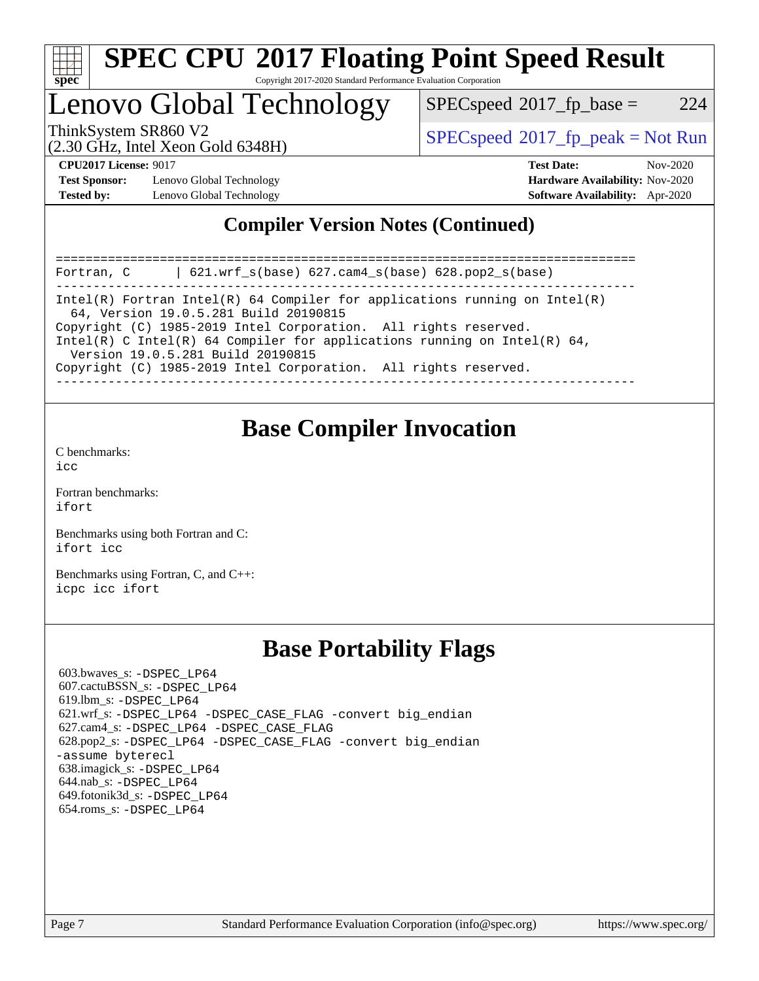

# Lenovo Global Technology

 $SPECspeed^{\circledcirc}2017_fp\_base = 224$  $SPECspeed^{\circledcirc}2017_fp\_base = 224$ 

(2.30 GHz, Intel Xeon Gold 6348H)

ThinkSystem SR860 V2<br>  $\begin{array}{c}\n\text{SPEC speed} \text{?}2017 \text{ fp\_peak} = \text{Not Run} \\
\text{SPEC speed} \text{?}2017 \text{ fp\_peak} = \text{Not Run} \\
\end{array}$ 

**[Test Sponsor:](http://www.spec.org/auto/cpu2017/Docs/result-fields.html#TestSponsor)** Lenovo Global Technology **[Hardware Availability:](http://www.spec.org/auto/cpu2017/Docs/result-fields.html#HardwareAvailability)** Nov-2020 **[Tested by:](http://www.spec.org/auto/cpu2017/Docs/result-fields.html#Testedby)** Lenovo Global Technology **[Software Availability:](http://www.spec.org/auto/cpu2017/Docs/result-fields.html#SoftwareAvailability)** Apr-2020

**[CPU2017 License:](http://www.spec.org/auto/cpu2017/Docs/result-fields.html#CPU2017License)** 9017 **[Test Date:](http://www.spec.org/auto/cpu2017/Docs/result-fields.html#TestDate)** Nov-2020

### **[Compiler Version Notes \(Continued\)](http://www.spec.org/auto/cpu2017/Docs/result-fields.html#CompilerVersionNotes)**

============================================================================== Fortran, C | 621.wrf\_s(base) 627.cam4\_s(base) 628.pop2\_s(base) ------------------------------------------------------------------------------ Intel(R) Fortran Intel(R) 64 Compiler for applications running on Intel(R) 64, Version 19.0.5.281 Build 20190815 Copyright (C) 1985-2019 Intel Corporation. All rights reserved. Intel(R) C Intel(R) 64 Compiler for applications running on Intel(R)  $64$ , Version 19.0.5.281 Build 20190815 Copyright (C) 1985-2019 Intel Corporation. All rights reserved. ------------------------------------------------------------------------------

# **[Base Compiler Invocation](http://www.spec.org/auto/cpu2017/Docs/result-fields.html#BaseCompilerInvocation)**

[C benchmarks](http://www.spec.org/auto/cpu2017/Docs/result-fields.html#Cbenchmarks):  $i$ cc

[Fortran benchmarks](http://www.spec.org/auto/cpu2017/Docs/result-fields.html#Fortranbenchmarks): [ifort](http://www.spec.org/cpu2017/results/res2020q4/cpu2017-20201207-24558.flags.html#user_FCbase_intel_ifort_8111460550e3ca792625aed983ce982f94888b8b503583aa7ba2b8303487b4d8a21a13e7191a45c5fd58ff318f48f9492884d4413fa793fd88dd292cad7027ca)

[Benchmarks using both Fortran and C](http://www.spec.org/auto/cpu2017/Docs/result-fields.html#BenchmarksusingbothFortranandC): [ifort](http://www.spec.org/cpu2017/results/res2020q4/cpu2017-20201207-24558.flags.html#user_CC_FCbase_intel_ifort_8111460550e3ca792625aed983ce982f94888b8b503583aa7ba2b8303487b4d8a21a13e7191a45c5fd58ff318f48f9492884d4413fa793fd88dd292cad7027ca) [icc](http://www.spec.org/cpu2017/results/res2020q4/cpu2017-20201207-24558.flags.html#user_CC_FCbase_intel_icc_66fc1ee009f7361af1fbd72ca7dcefbb700085f36577c54f309893dd4ec40d12360134090235512931783d35fd58c0460139e722d5067c5574d8eaf2b3e37e92)

[Benchmarks using Fortran, C, and C++:](http://www.spec.org/auto/cpu2017/Docs/result-fields.html#BenchmarksusingFortranCandCXX) [icpc](http://www.spec.org/cpu2017/results/res2020q4/cpu2017-20201207-24558.flags.html#user_CC_CXX_FCbase_intel_icpc_c510b6838c7f56d33e37e94d029a35b4a7bccf4766a728ee175e80a419847e808290a9b78be685c44ab727ea267ec2f070ec5dc83b407c0218cded6866a35d07) [icc](http://www.spec.org/cpu2017/results/res2020q4/cpu2017-20201207-24558.flags.html#user_CC_CXX_FCbase_intel_icc_66fc1ee009f7361af1fbd72ca7dcefbb700085f36577c54f309893dd4ec40d12360134090235512931783d35fd58c0460139e722d5067c5574d8eaf2b3e37e92) [ifort](http://www.spec.org/cpu2017/results/res2020q4/cpu2017-20201207-24558.flags.html#user_CC_CXX_FCbase_intel_ifort_8111460550e3ca792625aed983ce982f94888b8b503583aa7ba2b8303487b4d8a21a13e7191a45c5fd58ff318f48f9492884d4413fa793fd88dd292cad7027ca)

## **[Base Portability Flags](http://www.spec.org/auto/cpu2017/Docs/result-fields.html#BasePortabilityFlags)**

 603.bwaves\_s: [-DSPEC\\_LP64](http://www.spec.org/cpu2017/results/res2020q4/cpu2017-20201207-24558.flags.html#suite_basePORTABILITY603_bwaves_s_DSPEC_LP64) 607.cactuBSSN\_s: [-DSPEC\\_LP64](http://www.spec.org/cpu2017/results/res2020q4/cpu2017-20201207-24558.flags.html#suite_basePORTABILITY607_cactuBSSN_s_DSPEC_LP64) 619.lbm\_s: [-DSPEC\\_LP64](http://www.spec.org/cpu2017/results/res2020q4/cpu2017-20201207-24558.flags.html#suite_basePORTABILITY619_lbm_s_DSPEC_LP64) 621.wrf\_s: [-DSPEC\\_LP64](http://www.spec.org/cpu2017/results/res2020q4/cpu2017-20201207-24558.flags.html#suite_basePORTABILITY621_wrf_s_DSPEC_LP64) [-DSPEC\\_CASE\\_FLAG](http://www.spec.org/cpu2017/results/res2020q4/cpu2017-20201207-24558.flags.html#b621.wrf_s_baseCPORTABILITY_DSPEC_CASE_FLAG) [-convert big\\_endian](http://www.spec.org/cpu2017/results/res2020q4/cpu2017-20201207-24558.flags.html#user_baseFPORTABILITY621_wrf_s_convert_big_endian_c3194028bc08c63ac5d04de18c48ce6d347e4e562e8892b8bdbdc0214820426deb8554edfa529a3fb25a586e65a3d812c835984020483e7e73212c4d31a38223) 627.cam4\_s: [-DSPEC\\_LP64](http://www.spec.org/cpu2017/results/res2020q4/cpu2017-20201207-24558.flags.html#suite_basePORTABILITY627_cam4_s_DSPEC_LP64) [-DSPEC\\_CASE\\_FLAG](http://www.spec.org/cpu2017/results/res2020q4/cpu2017-20201207-24558.flags.html#b627.cam4_s_baseCPORTABILITY_DSPEC_CASE_FLAG) 628.pop2\_s: [-DSPEC\\_LP64](http://www.spec.org/cpu2017/results/res2020q4/cpu2017-20201207-24558.flags.html#suite_basePORTABILITY628_pop2_s_DSPEC_LP64) [-DSPEC\\_CASE\\_FLAG](http://www.spec.org/cpu2017/results/res2020q4/cpu2017-20201207-24558.flags.html#b628.pop2_s_baseCPORTABILITY_DSPEC_CASE_FLAG) [-convert big\\_endian](http://www.spec.org/cpu2017/results/res2020q4/cpu2017-20201207-24558.flags.html#user_baseFPORTABILITY628_pop2_s_convert_big_endian_c3194028bc08c63ac5d04de18c48ce6d347e4e562e8892b8bdbdc0214820426deb8554edfa529a3fb25a586e65a3d812c835984020483e7e73212c4d31a38223) [-assume byterecl](http://www.spec.org/cpu2017/results/res2020q4/cpu2017-20201207-24558.flags.html#user_baseFPORTABILITY628_pop2_s_assume_byterecl_7e47d18b9513cf18525430bbf0f2177aa9bf368bc7a059c09b2c06a34b53bd3447c950d3f8d6c70e3faf3a05c8557d66a5798b567902e8849adc142926523472) 638.imagick\_s: [-DSPEC\\_LP64](http://www.spec.org/cpu2017/results/res2020q4/cpu2017-20201207-24558.flags.html#suite_basePORTABILITY638_imagick_s_DSPEC_LP64) 644.nab\_s: [-DSPEC\\_LP64](http://www.spec.org/cpu2017/results/res2020q4/cpu2017-20201207-24558.flags.html#suite_basePORTABILITY644_nab_s_DSPEC_LP64) 649.fotonik3d\_s: [-DSPEC\\_LP64](http://www.spec.org/cpu2017/results/res2020q4/cpu2017-20201207-24558.flags.html#suite_basePORTABILITY649_fotonik3d_s_DSPEC_LP64) 654.roms\_s: [-DSPEC\\_LP64](http://www.spec.org/cpu2017/results/res2020q4/cpu2017-20201207-24558.flags.html#suite_basePORTABILITY654_roms_s_DSPEC_LP64)